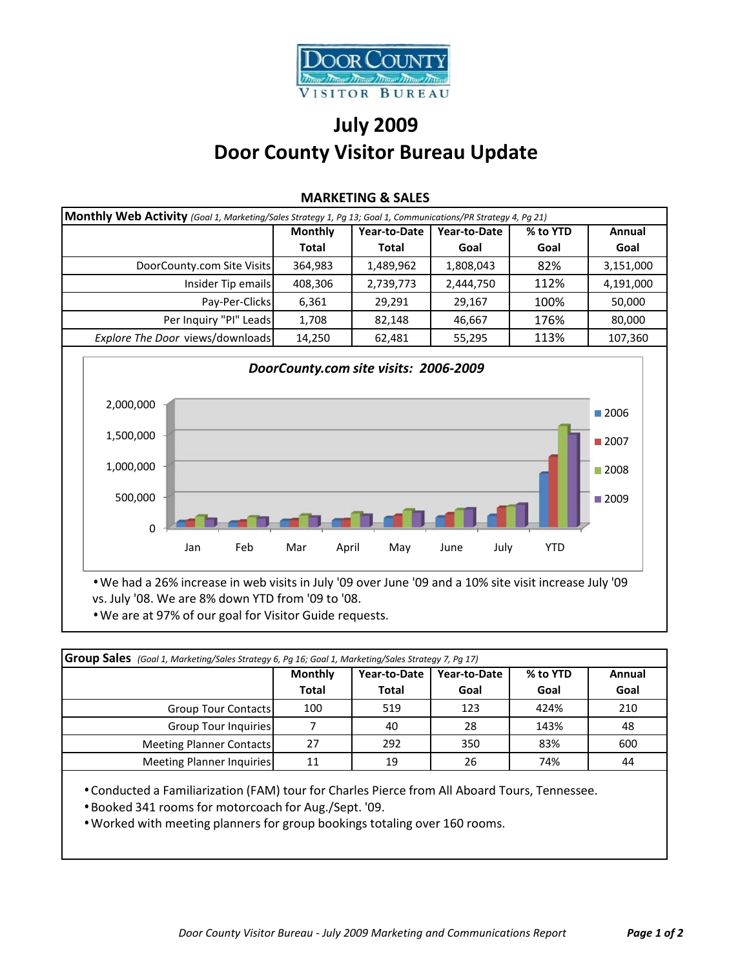

## **July 2009 Door County Visitor Bureau Update**

| Monthly Web Activity (Goal 1, Marketing/Sales Strategy 1, Pg 13; Goal 1, Communications/PR Strategy 4, Pg 21) |                |              |              |          |           |
|---------------------------------------------------------------------------------------------------------------|----------------|--------------|--------------|----------|-----------|
|                                                                                                               | <b>Monthly</b> | Year-to-Date | Year-to-Date | % to YTD | Annual    |
|                                                                                                               | <b>Total</b>   | Total        | Goal         | Goal     | Goal      |
| DoorCounty.com Site Visits                                                                                    | 364,983        | 1,489,962    | 1,808,043    | 82%      | 3,151,000 |
| Insider Tip emails                                                                                            | 408,306        | 2,739,773    | 2,444,750    | 112%     | 4,191,000 |
| Pay-Per-Clicks                                                                                                | 6,361          | 29,291       | 29,167       | 100%     | 50,000    |
| Per Inquiry "PI" Leads                                                                                        | 1,708          | 82,148       | 46,667       | 176%     | 80,000    |
| Explore The Door views/downloads                                                                              | 14,250         | 62,481       | 55,295       | 113%     | 107,360   |

## **MARKETING & SALES**



• We had a 26% increase in web visits in July '09 over June '09 and a 10% site visit increase July '09 vs. July '08. We are 8% down YTD from '09 to '08.

• We are at 97% of our goal for Visitor Guide requests.

| <b>Group Sales</b> (Goal 1, Marketing/Sales Strategy 6, Pg 16; Goal 1, Marketing/Sales Strategy 7, Pg 17) |                |              |              |          |        |
|-----------------------------------------------------------------------------------------------------------|----------------|--------------|--------------|----------|--------|
|                                                                                                           | <b>Monthly</b> | Year-to-Date | Year-to-Date | % to YTD | Annual |
|                                                                                                           | <b>Total</b>   | <b>Total</b> | Goal         | Goal     | Goal   |
| <b>Group Tour Contacts</b>                                                                                | 100            | 519          | 123          | 424%     | 210    |
| Group Tour Inquiries                                                                                      |                | 40           | 28           | 143%     | 48     |
| <b>Meeting Planner Contacts</b>                                                                           | 27             | 292          | 350          | 83%      | 600    |
| <b>Meeting Planner Inquiries</b>                                                                          |                | 19           | 26           | 74%      | 44     |

• Conducted a Familiarization (FAM) tour for Charles Pierce from All Aboard Tours, Tennessee.

• Booked 341 rooms for motorcoach for Aug./Sept. '09.

• Worked with meeting planners for group bookings totaling over 160 rooms.